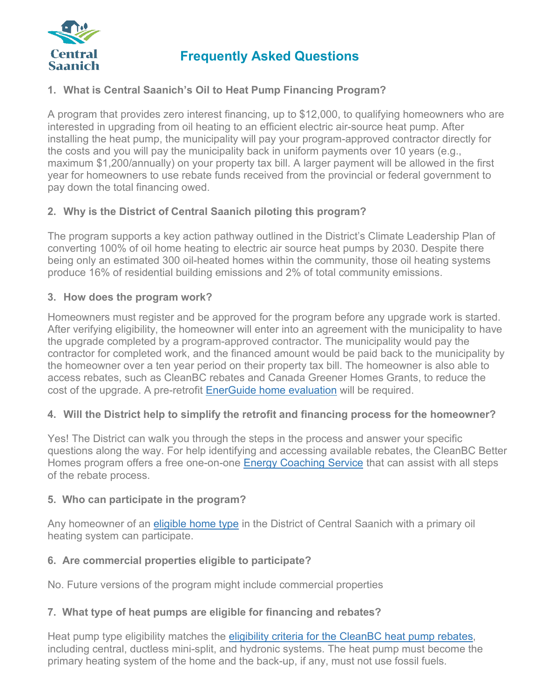

# **Frequently Asked Questions**

## **1. What is Central Saanich's Oil to Heat Pump Financing Program?**

A program that provides zero interest financing, up to \$12,000, to qualifying homeowners who are interested in upgrading from oil heating to an efficient electric air-source heat pump. After installing the heat pump, the municipality will pay your program-approved contractor directly for the costs and you will pay the municipality back in uniform payments over 10 years (e.g., maximum \$1,200/annually) on your property tax bill. A larger payment will be allowed in the first year for homeowners to use rebate funds received from the provincial or federal government to pay down the total financing owed.

## **2. Why is the District of Central Saanich piloting this program?**

The program supports a key action pathway outlined in the District's Climate Leadership Plan of converting 100% of oil home heating to electric air source heat pumps by 2030. Despite there being only an estimated 300 oil-heated homes within the community, those oil heating systems produce 16% of residential building emissions and 2% of total community emissions.

### **3. How does the program work?**

Homeowners must register and be approved for the program before any upgrade work is started. After verifying eligibility, the homeowner will enter into an agreement with the municipality to have the upgrade completed by a program-approved contractor. The municipality would pay the contractor for completed work, and the financed amount would be paid back to the municipality by the homeowner over a ten year period on their property tax bill. The homeowner is also able to access rebates, such as CleanBC rebates and Canada Greener Homes Grants, to reduce the cost of the upgrade. A pre-retrofit [EnerGuide](https://betterhomesbc.ca/renovation/faq/faqs-categories/?category=energuide-home-evaluations&faqs-1118) home evaluation will be required.

### **4. Will the District help to simplify the retrofit and financing process for the homeowner?**

Yes! The District can walk you through the steps in the process and answer your specific questions along the way. For help identifying and accessing available rebates, the CleanBC Better Homes program offers a free one-on-one Energy [Coaching](https://betterhomesbc.ca/connect/) Service that can assist with all steps of the rebate process.

### **5. Who can participate in the program?**

Any homeowner of an [eligible home type](https://betterhomesbc.ca/faqs/is-my-home-eligible-for-rebates-or-an-energuide-home-evaluation) in the District of Central Saanich with a primary oil heating system can participate.

### **6. Are commercial properties eligible to participate?**

No. Future versions of the program might include commercial properties

### **7. What type of heat pumps are eligible for financing and rebates?**

Heat pump type eligibility matches the [eligibility criteria for the CleanBC heat pump rebates,](https://betterhomesbc.ca/rebates/cleanbc-better-homes-and-home-renovation-rebate-programs/) including central, ductless mini-split, and hydronic systems. The heat pump must become the primary heating system of the home and the back-up, if any, must not use fossil fuels.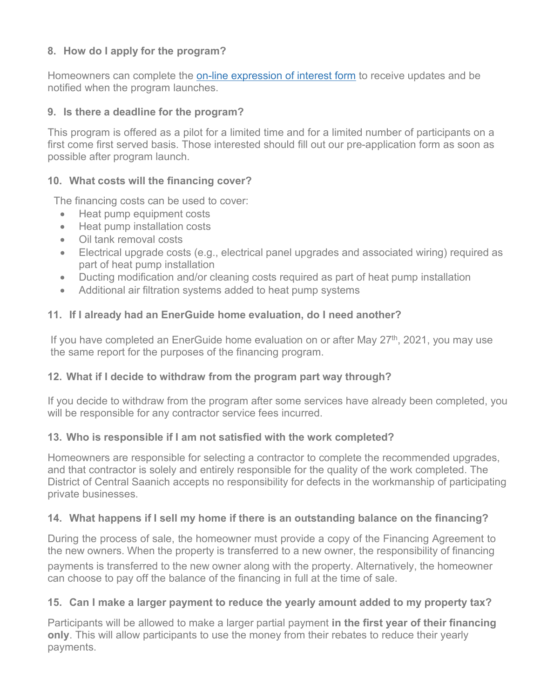## **8. How do I apply for the program?**

Homeowners can complete the [on-line expression of interest form](https://www.centralsaanich.ca/climate-action/building-efficiency-rebates/oil-heat-pump-financing-program) to receive updates and be notified when the program launches.

### **9. Is there a deadline for the program?**

This program is offered as a pilot for a limited time and for a limited number of participants on a first come first served basis. Those interested should fill out our pre-application form as soon as possible after program launch.

### **10. What costs will the financing cover?**

The financing costs can be used to cover:

- Heat pump equipment costs
- Heat pump installation costs
- Oil tank removal costs
- Electrical upgrade costs (e.g., electrical panel upgrades and associated wiring) required as part of heat pump installation
- Ducting modification and/or cleaning costs required as part of heat pump installation
- Additional air filtration systems added to heat pump systems

## **11. If I already had an EnerGuide home evaluation, do I need another?**

If you have completed an EnerGuide home evaluation on or after May  $27<sup>th</sup>$ , 2021, you may use the same report for the purposes of the financing program.

### **12. What if I decide to withdraw from the program part way through?**

If you decide to withdraw from the program after some services have already been completed, you will be responsible for any contractor service fees incurred.

### **13. Who is responsible if I am not satisfied with the work completed?**

Homeowners are responsible for selecting a contractor to complete the recommended upgrades, and that contractor is solely and entirely responsible for the quality of the work completed. The District of Central Saanich accepts no responsibility for defects in the workmanship of participating private businesses.

### **14. What happens if I sell my home if there is an outstanding balance on the financing?**

During the process of sale, the homeowner must provide a copy of the Financing Agreement to the new owners. When the property is transferred to a new owner, the responsibility of financing payments is transferred to the new owner along with the property. Alternatively, the homeowner can choose to pay off the balance of the financing in full at the time of sale.

### **15. Can I make a larger payment to reduce the yearly amount added to my property tax?**

Participants will be allowed to make a larger partial payment **in the first year of their financing only**. This will allow participants to use the money from their rebates to reduce their yearly payments.